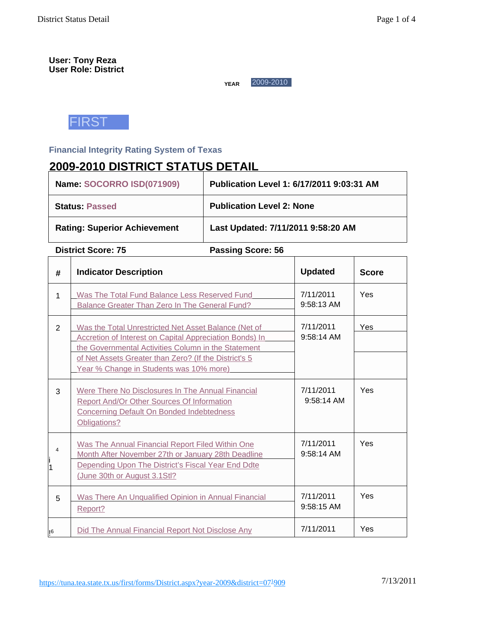### **User: Tony Reza User Role: District**

**YEAR** 2009-2010



# **Financial Integrity Rating System of Texas**

# **2009-2010 DISTRICT STATUS DETAIL**

| Name: SOCORRO ISD(071909)           | Publication Level 1: 6/17/2011 9:03:31 AM |
|-------------------------------------|-------------------------------------------|
| <b>Status Passed</b>                | <b>Publication Level 2: None</b>          |
| <b>Rating: Superior Achievement</b> | Last Updated: 7/11/2011 9:58:20 AM        |

**District Score: 75 Passing Score: 56** 

| #           | <b>Indicator Description</b>                                                                                                                                                                                                                                               | <b>Updated</b>            | <b>Score</b> |
|-------------|----------------------------------------------------------------------------------------------------------------------------------------------------------------------------------------------------------------------------------------------------------------------------|---------------------------|--------------|
| 1           | Was The Total Fund Balance Less Reserved Fund<br>Balance Greater Than Zero In The General Fund?                                                                                                                                                                            | 7/11/2011<br>$9:58:13$ AM | Yes          |
| 2           | Was the Total Unrestricted Net Asset Balance (Net of<br>Accretion of Interest on Capital Appreciation Bonds) In<br>the Governmental Activities Column in the Statement<br>of Net Assets Greater than Zero? (If the District's 5<br>Year % Change in Students was 10% more) | 7/11/2011<br>$9:58:14$ AM | Yes          |
| 3           | Were There No Disclosures In The Annual Financial<br><b>Report And/Or Other Sources Of Information</b><br><b>Concerning Default On Bonded Indebtedness</b><br>Obligations?                                                                                                 | 7/11/2011<br>9:58:14 AM   | Yes          |
| 4<br>.<br>1 | Was The Annual Financial Report Filed Within One<br>Month After November 27th or January 28th Deadline<br>Depending Upon The District's Fiscal Year End Ddte<br>(June 30th or August 3.1Stl?                                                                               | 7/11/2011<br>$9:58:14$ AM | Yes          |
| 5           | Was There An Unqualified Opinion in Annual Financial<br>Report?                                                                                                                                                                                                            | 7/11/2011<br>9:58:15 AM   | Yes          |
| 16          | Did The Annual Financial Report Not Disclose Any                                                                                                                                                                                                                           | 7/11/2011                 | Yes          |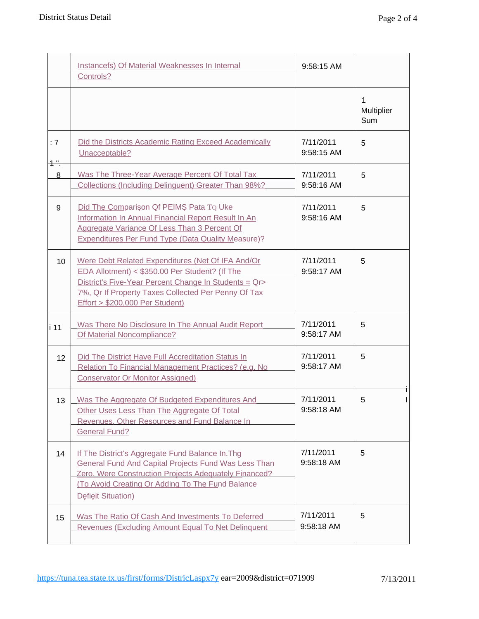|              | Instancefs) Of Material Weaknesses In Internal<br>Controls?                                                                                                                                                                                            | 9:58:15 AM              |                        |
|--------------|--------------------------------------------------------------------------------------------------------------------------------------------------------------------------------------------------------------------------------------------------------|-------------------------|------------------------|
|              |                                                                                                                                                                                                                                                        |                         | 1<br>Multiplier<br>Sum |
| : 7<br>$1 -$ | Did the Districts Academic Rating Exceed Academically<br>Unacceptable?                                                                                                                                                                                 | 7/11/2011<br>9:58:15 AM | 5                      |
| 8            | Was The Three-Year Average Percent Of Total Tax<br>Collections (Including Delinguent) Greater Than 98%?                                                                                                                                                | 7/11/2011<br>9:58:16 AM | 5                      |
| 9            | Did Th Compari on Qf PEIM Pata TQ Uke<br>Information In Annual Financial Report Result In An<br>Aggregate Variance Of Less Than 3 Percent Of<br><b>Expenditures Per Fund Type (Data Quality Measure)?</b>                                              | 7/11/2011<br>9:58:16 AM | 5                      |
| 10           | Were Debt Related Expenditures (Net Of IFA And/Or<br>EDA Allotment) < \$350.00 Per Student? (If The<br>District's Five-Year Percent Change In Students = Qr><br>7%, Qr If Property Taxes Collected Per Penny Of Tax<br>Effort > \$200,000 Per Student) | 7/11/2011<br>9:58:17 AM | 5                      |
| i 11         | Was There No Disclosure In The Annual Audit Report<br>Of Material Noncompliance?                                                                                                                                                                       | 7/11/2011<br>9:58:17 AM | 5                      |
| 12           | Did The District Have Full Accreditation Status In<br>Relation To Financial Management Practices? (e.g. No<br><b>Conservator Or Monitor Assigned)</b>                                                                                                  | 7/11/2011<br>9:58:17 AM | 5                      |
| 13           | Was The Aggregate Of Budgeted Expenditures And<br>Other Uses Less Than The Aggregate Of Total<br>Revenues, Other Resources and Fund Balance In<br><b>General Fund?</b>                                                                                 | 7/11/2011<br>9:58:18 AM | 5                      |
| 14           | If The District's Aggregate Fund Balance In. Thg<br><b>General Fund And Capital Projects Fund Was Less Than</b><br>Zero, Were Construction Projects Adequately Financed?<br>(To Avoid Creating Or Adding To The Fund Balance<br>D fi it Situation)     | 7/11/2011<br>9:58:18 AM | 5                      |
| 15           | Was The Ratio Of Cash And Investments To Deferred<br>Revenues (Excluding Amount Equal To Net Delinquent                                                                                                                                                | 7/11/2011<br>9:58:18 AM | 5                      |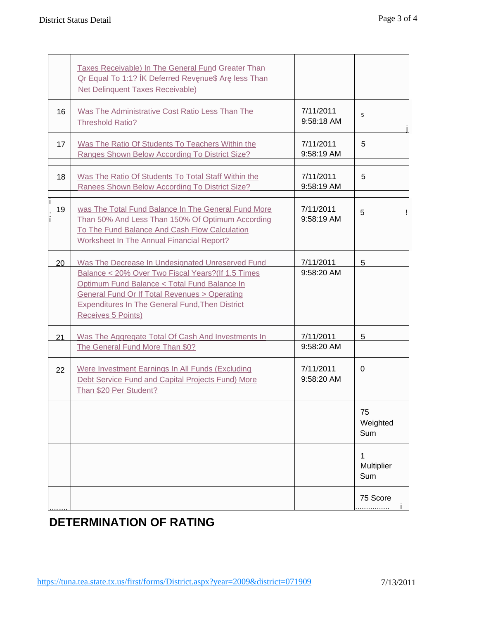|    | Taxes Receivable) In The General Fund Greater Than<br>Qr Equal To 1:1? IK Deferred Rev nue\$ Ar less Than<br><b>Net Delinquent Taxes Receivable)</b>                                                                                                                                                     |                         |                        |
|----|----------------------------------------------------------------------------------------------------------------------------------------------------------------------------------------------------------------------------------------------------------------------------------------------------------|-------------------------|------------------------|
| 16 | Was The Administrative Cost Ratio Less Than The<br><b>Threshold Ratio?</b>                                                                                                                                                                                                                               | 7/11/2011<br>9:58:18 AM | 5                      |
| 17 | Was The Ratio Of Students To Teachers Within the<br>Ranges Shown Below According To District Size?                                                                                                                                                                                                       | 7/11/2011<br>9:58:19 AM | 5                      |
| 18 | Was The Ratio Of Students To Total Staff Within the<br>Ranees Shown Below According To District Size?                                                                                                                                                                                                    | 7/11/2011<br>9:58:19 AM | 5                      |
| 19 | was The Total Fund Balance In The General Fund More<br>Than 50% And Less Than 150% Of Optimum According<br>To The Fund Balance And Cash Flow Calculation<br><b>Worksheet In The Annual Financial Report?</b>                                                                                             | 7/11/2011<br>9:58:19 AM | 5                      |
| 20 | Was The Decrease In Undesignated Unreserved Fund<br>Balance < 20% Over Two Fiscal Years? (If 1.5 Times<br>Optimum Fund Balance < Total Fund Balance In<br><b>General Fund Or If Total Revenues &gt; Operating</b><br><b>Expenditures In The General Fund, Then District</b><br><b>Receives 5 Points)</b> | 7/11/2011<br>9:58:20 AM | 5                      |
| 21 | Was The Aggregate Total Of Cash And Investments In<br>The General Fund More Than \$0?                                                                                                                                                                                                                    | 7/11/2011<br>9:58:20 AM | 5                      |
| 22 | Were Investment Earnings In All Funds (Excluding<br>Debt Service Fund and Capital Projects Fund) More<br>Than \$20 Per Student?                                                                                                                                                                          | 7/11/2011<br>9:58:20 AM | $\Omega$               |
|    |                                                                                                                                                                                                                                                                                                          |                         | 75<br>Weighted<br>Sum  |
|    |                                                                                                                                                                                                                                                                                                          |                         | 1<br>Multiplier<br>Sum |
|    |                                                                                                                                                                                                                                                                                                          |                         | 75 Score<br>           |

# **DETERMINATION OF RATING**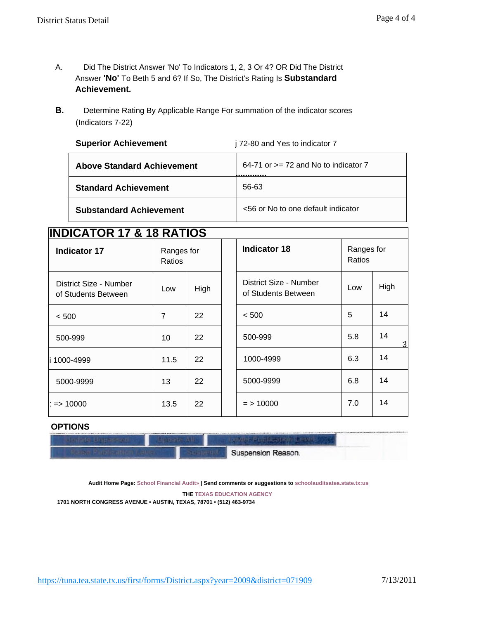- A. Did The District Answer 'No' To Indicators 1, 2, 3 Or 4? OR Did The District Answer **'No'** To Beth 5 and 6? If So, The District's Rating Is **Substandard Achievement.**
- **B.** Determine Rating By Applicable Range For summation of the indicator scores (Indicators 7-22)

| <b>Superior Achievement</b>       | j 72-80 and Yes to indicator 7           |
|-----------------------------------|------------------------------------------|
| <b>Above Standard Achievement</b> | $64-71$ or $>= 72$ and No to indicator 7 |
| <b>Standard Achievement</b>       | 56-63                                    |
| <b>Substandard Achievement</b>    | <56 or No to one default indicator       |

# **INDICATOR 17 & 18 RATIOS**

| <b>Indicator 17</b>                           | Ratios | Ranges for |  | <b>Indicator 18</b>                           | Ranges for<br>Ratios |                    |
|-----------------------------------------------|--------|------------|--|-----------------------------------------------|----------------------|--------------------|
| District Size - Number<br>of Students Between | Low    | High       |  | District Size - Number<br>of Students Between | Low                  | High               |
| < 500                                         | 7      | 22         |  | < 500                                         | 5                    | 14                 |
| 500-999                                       | 10     | 22         |  | 500-999                                       | 5.8                  | 14<br>$\mathbf{3}$ |
| 1000-4999                                     | 11.5   | 22         |  | 1000-4999                                     | 6.3                  | 14                 |
| 5000-9999                                     | 13     | 22         |  | 5000-9999                                     | 6.8                  | 14                 |
| : => 10000                                    | 13.5   | 22         |  | $=$ > 10000                                   | 7.0                  | 14                 |

## **OPTIONS**

|  | Suspension Reason. |  |
|--|--------------------|--|
|  |                    |  |
|  |                    |  |

**Audit Home Page: School Financial Audit» | Send comments or suggestions to schoolauditsatea.state.tx:us**

**THE TEXAS EDUCATION AGENCY**

**1701 NORTH CONGRESS AVENUE • AUSTIN, TEXAS, 78701 • (512) 463-9734**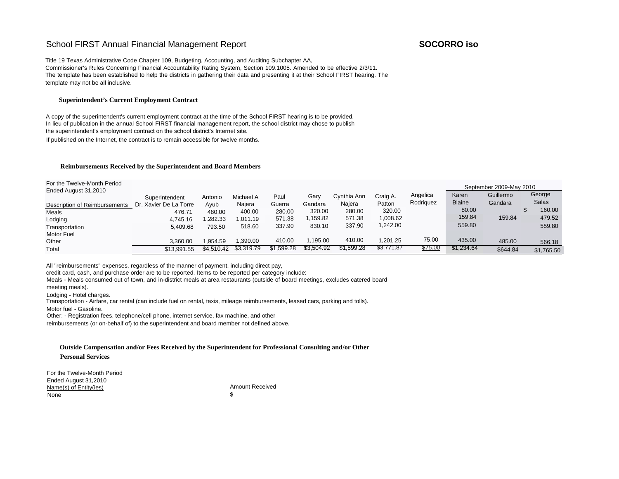## School FIRST Annual Financial Management Report **SOCORRO** iso

Title 19 Texas Administrative Code Chapter 109, Budgeting, Accounting, and Auditing Subchapter AA, Commissioner's Rules Concerning Financial Accountability Rating System, Section 109.1005. Amended to be effective 2/3/11. The template has been established to help the districts in gathering their data and presenting it at their School FIRST hearing. The template may not be all inclusive.

#### **Superintendent's Current Employment Contract**

A copy of the superintendent's current employment contract at the time of the School FIRST hearing is to be provided. In lieu of publication in the annual School FIRST financial management report, the school district may chose to publish the superintendent's employment contract on the school district's Internet site.

If published on the Internet, the contract is to remain accessible for twelve months.

#### **Reimbursements Received by the Superintendent and Board Members**

For the Twelve-Month Period

| I UI LIIG TWGIVG-IVIUITII F GIIUU<br>Ended August 31,2010 |                        |            |            |            |            |             |            |           |               | September 2009-May 2010 |            |
|-----------------------------------------------------------|------------------------|------------|------------|------------|------------|-------------|------------|-----------|---------------|-------------------------|------------|
|                                                           | Superintendent         | Antonio    | Michael A  | Paul       | Gary       | Cynthia Ann | Craig A.   | Angelica  | Karen         | Guillermo               | George     |
| Description of Reimbursements                             | Dr. Xavier De La Torre | Ayub       | Naiera     | Guerra     | Gandara    | Najera      | Patton     | Rodriguez | <b>Blaine</b> | Gandara                 | Salas      |
| Meals                                                     | 476.71                 | 480.00     | 400.00     | 280.00     | 320.00     | 280.00      | 320.00     |           | 80.00         |                         | 160.00     |
| Lodging                                                   | 4.745.16               | ,282.33    | 1.011.19   | 571.38     | ,159.82    | 571.38      | 008.62     |           | 159.84        | 159.84                  | 479.52     |
| Transportation                                            | 5.409.68               | 793.50     | 518.60     | 337.90     | 830.10     | 337.90      | ,242.00    |           | 559.80        |                         | 559.80     |
| Motor Fuel                                                |                        |            |            |            |            |             |            |           |               |                         |            |
| Other                                                     | 3,360.00               | 1.954.59   | .390.00    | 410.00     | .195.00    | 410.00      | .201.25    | 75.00     | 435.00        | 485.00                  | 566.18     |
| Total                                                     | \$13.991.55            | \$4.510.42 | \$3.319.79 | \$1.599.28 | \$3,504.92 | \$1,599.28  | \$3,771.87 | \$75.00   | \$1.234.64    | \$644.84                | \$1,765.50 |

All "reimbursements" expenses, regardless of the manner of payment, including direct pay,

credit card, cash, and purchase order are to be reported. Items to be reported per category include:

Meals - Meals consumed out of town, and in-district meals at area restaurants (outside of board meetings, excludes catered board

meeting meals).

Lodging - Hotel charges.

Transportation - Airfare, car rental (can include fuel on rental, taxis, mileage reimbursements, leased cars, parking and tolls).

Motor fuel - Gasoline.

Other: - Registration fees, telephone/cell phone, internet service, fax machine, and other

reimbursements (or on-behalf of) to the superintendent and board member not defined above.

#### **Outside Compensation and/or Fees Received by the Superintendent for Professional Consulting and/or Other**

#### **Personal Services**

For the Twelve-Month Period Ended August 31,2010 Name(s) of Entity(ies) None Amount Received \$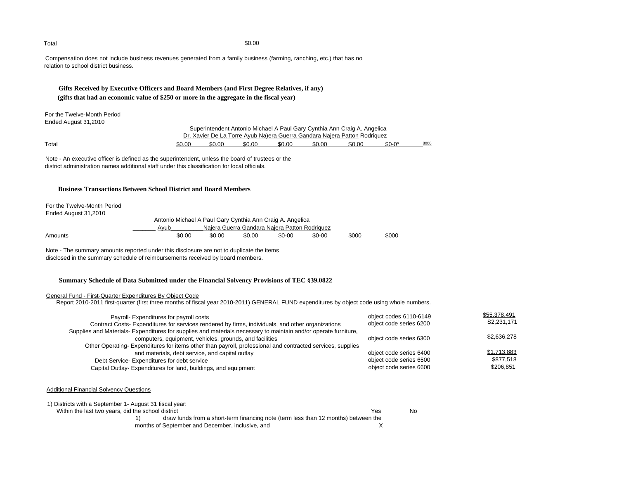Compensation does not include business revenues generated from a family business (farming, ranching, etc.) that has no relation to school district business.

### **Gifts Received by Executive Officers and Board Members (and First Degree Relatives, if any) (gifts that had an economic value of \$250 or more in the aggregate in the fiscal year)**

For the Twelve-Month Period Ended August 31,2010

| Superintendent Antonio Michael A Paul Gary Cynthia Ann Craig A. Angelica         |
|----------------------------------------------------------------------------------|
| <u>Dr. Xavier De La Torre Ayub Na)era Guerra Gandara Najera Patton Rodriquez</u> |

| Total<br>. | \$0.00 | \$0.00 | \$0.00 | \$0.00 | \$0.00 | S <sub>0.00</sub> | $\Omega$<br>$$0 - C$ | 8000 |
|------------|--------|--------|--------|--------|--------|-------------------|----------------------|------|
|------------|--------|--------|--------|--------|--------|-------------------|----------------------|------|

Note - An executive officer is defined as the superintendent, unless the board of trustees or the district administration names additional staff under this classification for local officials.

### **Business Transactions Between School District and Board Members**

For the Twelve-Month Period

Ended August 31,2010 Antonio Michael A Paul Gary Cynthia Ann Craig A. Angelica Najera Guerra Gandara Najera Patton Rodriquez Amounts <u>\$0.00 \$0.00 \$0-00 \$0-00 \$000 \$000</u>

Note - The summary amounts reported under this disclosure are not to duplicate the items disclosed in the summary schedule of reimbursements received by board members.

#### **Summary Schedule of Data Submitted under the Financial Solvency Provisions of TEC §39.0822**

#### General Fund - First-Quarter Expenditures By Object Code

Report 2010-2011 first-quarter (first three months of fiscal year 2010-2011) GENERAL FUND expenditures by object code using whole numbers.

| Payroll- Expenditures for payroll costs<br>Contract Costs-Expenditures for services rendered by firms, individuals, and other organizations                                                                                                                                  | object codes 6110-6149<br>object code series 6200                             | \$55,378,491<br>S2,231,171            |
|------------------------------------------------------------------------------------------------------------------------------------------------------------------------------------------------------------------------------------------------------------------------------|-------------------------------------------------------------------------------|---------------------------------------|
| Supplies and Materials- Expenditures for supplies and materials necessary to maintain and/or operate furniture,<br>computers, equipment, vehicles, grounds, and facilities                                                                                                   | object code series 6300                                                       | \$2,636,278                           |
| Other Operating-Expenditures for items other than payroll, professional and contracted services, supplies<br>and materials, debt service, and capital outlay<br>Debt Service-Expenditures for debt service<br>Capital Outlay-Expenditures for land, buildings, and equipment | object code series 6400<br>object code series 6500<br>object code series 6600 | \$1,713,883<br>\$877,518<br>\$206,851 |

#### Additional Financial Solvency Questions

| 1) Districts with a September 1- August 31 fiscal year:                            |     |     |
|------------------------------------------------------------------------------------|-----|-----|
| Within the last two years, did the school district                                 | Yes | No. |
| draw funds from a short-term financing note (term less than 12 months) between the |     |     |
| months of September and December, inclusive, and                                   |     |     |

 $\text{Total}$   $\$0.00$